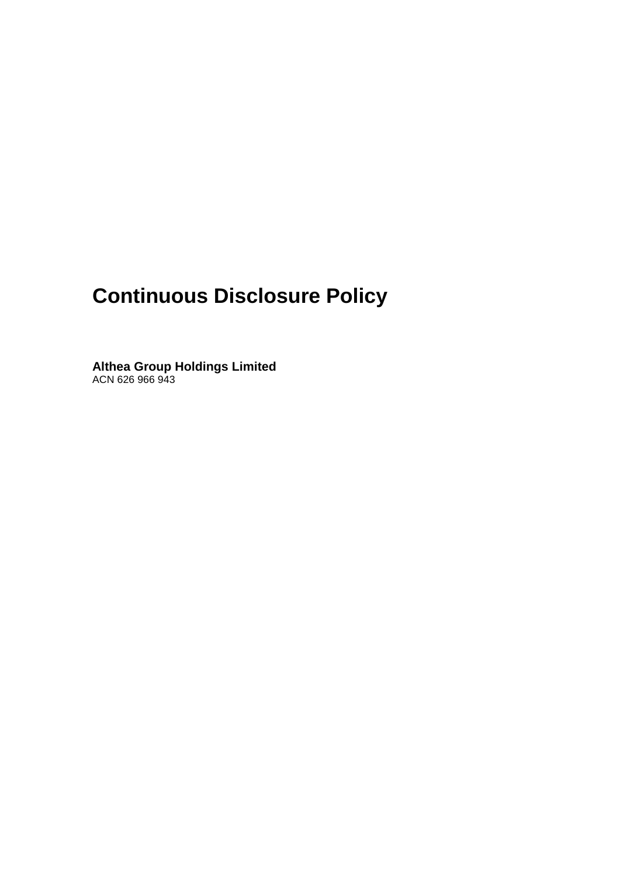# **Continuous Disclosure Policy**

**Althea Group Holdings Limited** ACN 626 966 943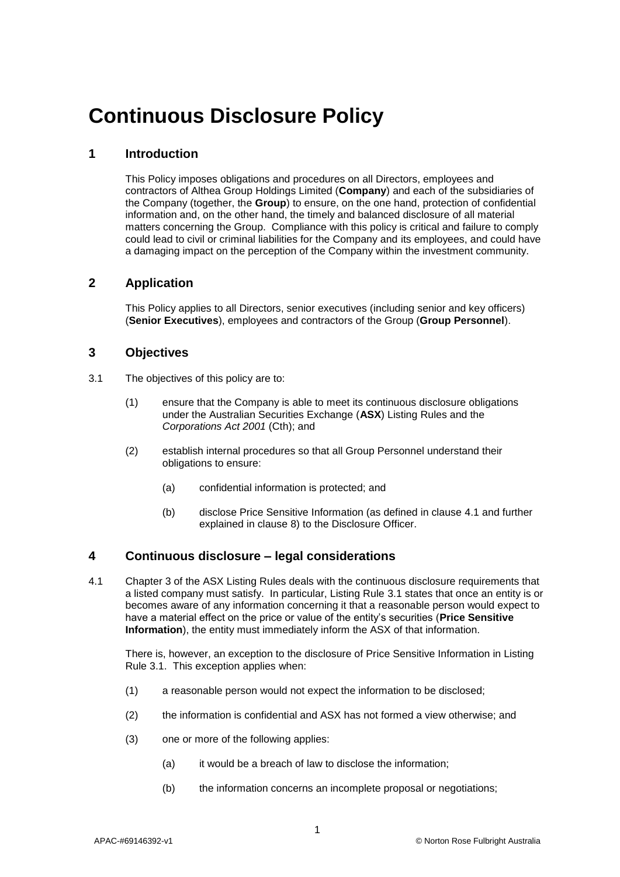## **Continuous Disclosure Policy**

#### **1 Introduction**

This Policy imposes obligations and procedures on all Directors, employees and contractors of Althea Group Holdings Limited (**Company**) and each of the subsidiaries of the Company (together, the **Group**) to ensure, on the one hand, protection of confidential information and, on the other hand, the timely and balanced disclosure of all material matters concerning the Group. Compliance with this policy is critical and failure to comply could lead to civil or criminal liabilities for the Company and its employees, and could have a damaging impact on the perception of the Company within the investment community.

#### **2 Application**

This Policy applies to all Directors, senior executives (including senior and key officers) (**Senior Executives**), employees and contractors of the Group (**Group Personnel**).

#### **3 Objectives**

- 3.1 The objectives of this policy are to:
	- (1) ensure that the Company is able to meet its continuous disclosure obligations under the Australian Securities Exchange (**ASX**) Listing Rules and the *Corporations Act 2001* (Cth); and
	- (2) establish internal procedures so that all Group Personnel understand their obligations to ensure:
		- (a) confidential information is protected; and
		- (b) disclose Price Sensitive Information (as defined in clause [4.1](#page-1-0) and further explained in clause [8\)](#page-5-0) to the Disclosure Officer.

#### **4 Continuous disclosure – legal considerations**

<span id="page-1-0"></span>4.1 Chapter 3 of the ASX Listing Rules deals with the continuous disclosure requirements that a listed company must satisfy. In particular, Listing Rule 3.1 states that once an entity is or becomes aware of any information concerning it that a reasonable person would expect to have a material effect on the price or value of the entity's securities (**Price Sensitive Information**), the entity must immediately inform the ASX of that information.

There is, however, an exception to the disclosure of Price Sensitive Information in Listing Rule 3.1. This exception applies when:

- (1) a reasonable person would not expect the information to be disclosed;
- (2) the information is confidential and ASX has not formed a view otherwise; and
- (3) one or more of the following applies:
	- (a) it would be a breach of law to disclose the information;
	- (b) the information concerns an incomplete proposal or negotiations;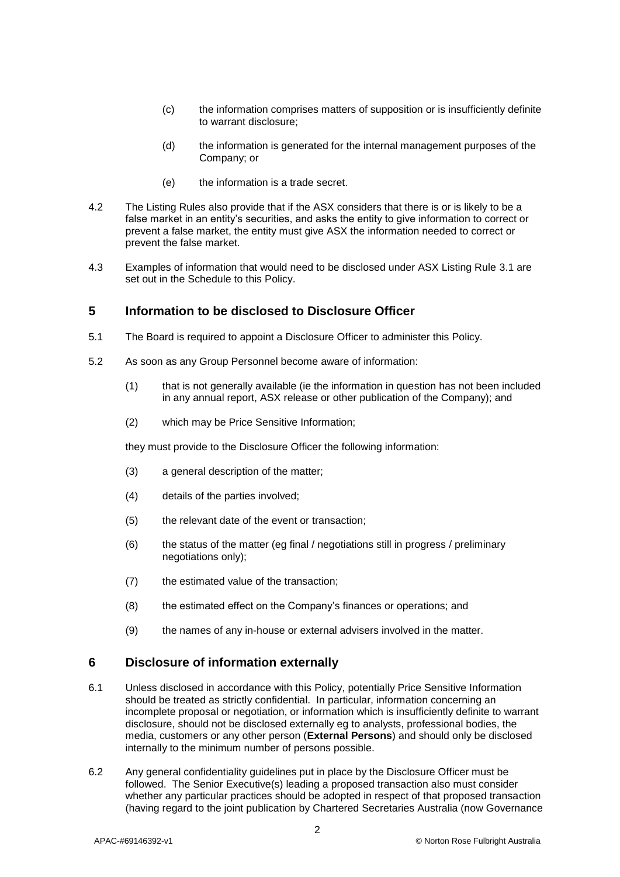- (c) the information comprises matters of supposition or is insufficiently definite to warrant disclosure;
- (d) the information is generated for the internal management purposes of the Company; or
- (e) the information is a trade secret.
- 4.2 The Listing Rules also provide that if the ASX considers that there is or is likely to be a false market in an entity's securities, and asks the entity to give information to correct or prevent a false market, the entity must give ASX the information needed to correct or prevent the false market.
- 4.3 Examples of information that would need to be disclosed under ASX Listing Rule 3.1 are set out in the Schedule to this Policy.

#### **5 Information to be disclosed to Disclosure Officer**

- 5.1 The Board is required to appoint a Disclosure Officer to administer this Policy.
- 5.2 As soon as any Group Personnel become aware of information:
	- (1) that is not generally available (ie the information in question has not been included in any annual report, ASX release or other publication of the Company); and
	- (2) which may be Price Sensitive Information;

they must provide to the Disclosure Officer the following information:

- (3) a general description of the matter;
- (4) details of the parties involved;
- (5) the relevant date of the event or transaction;
- (6) the status of the matter (eg final / negotiations still in progress / preliminary negotiations only);
- (7) the estimated value of the transaction;
- (8) the estimated effect on the Company's finances or operations; and
- (9) the names of any in-house or external advisers involved in the matter.

#### **6 Disclosure of information externally**

- 6.1 Unless disclosed in accordance with this Policy, potentially Price Sensitive Information should be treated as strictly confidential. In particular, information concerning an incomplete proposal or negotiation, or information which is insufficiently definite to warrant disclosure, should not be disclosed externally eg to analysts, professional bodies, the media, customers or any other person (**External Persons**) and should only be disclosed internally to the minimum number of persons possible.
- <span id="page-2-0"></span>6.2 Any general confidentiality guidelines put in place by the Disclosure Officer must be followed. The Senior Executive(s) leading a proposed transaction also must consider whether any particular practices should be adopted in respect of that proposed transaction (having regard to the joint publication by Chartered Secretaries Australia (now Governance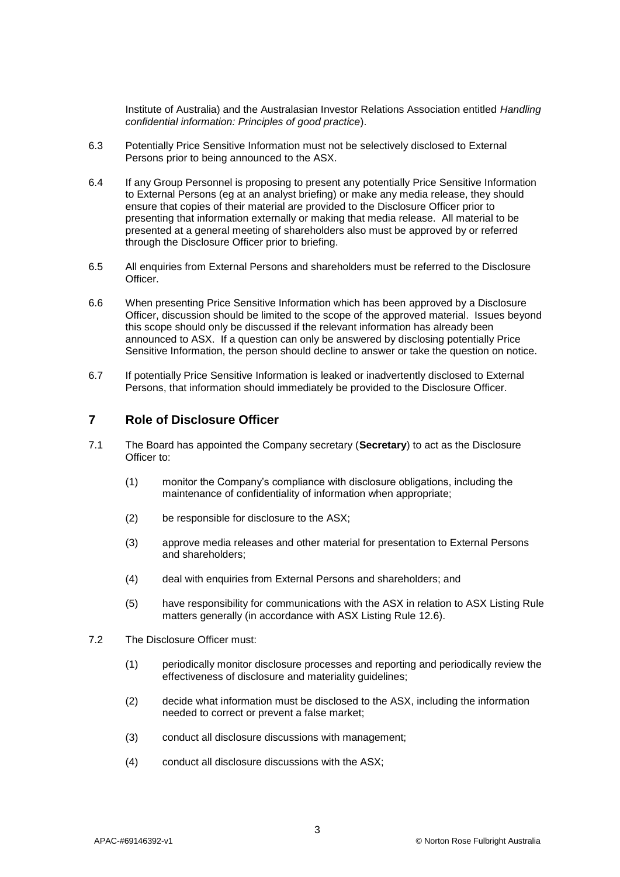Institute of Australia) and the Australasian Investor Relations Association entitled *Handling confidential information: Principles of good practice*).

- 6.3 Potentially Price Sensitive Information must not be selectively disclosed to External Persons prior to being announced to the ASX.
- 6.4 If any Group Personnel is proposing to present any potentially Price Sensitive Information to External Persons (eg at an analyst briefing) or make any media release, they should ensure that copies of their material are provided to the Disclosure Officer prior to presenting that information externally or making that media release. All material to be presented at a general meeting of shareholders also must be approved by or referred through the Disclosure Officer prior to briefing.
- 6.5 All enquiries from External Persons and shareholders must be referred to the Disclosure Officer.
- 6.6 When presenting Price Sensitive Information which has been approved by a Disclosure Officer, discussion should be limited to the scope of the approved material. Issues beyond this scope should only be discussed if the relevant information has already been announced to ASX. If a question can only be answered by disclosing potentially Price Sensitive Information, the person should decline to answer or take the question on notice.
- 6.7 If potentially Price Sensitive Information is leaked or inadvertently disclosed to External Persons, that information should immediately be provided to the Disclosure Officer.

#### **7 Role of Disclosure Officer**

- 7.1 The Board has appointed the Company secretary (**Secretary**) to act as the Disclosure Officer to:
	- (1) monitor the Company's compliance with disclosure obligations, including the maintenance of confidentiality of information when appropriate;
	- (2) be responsible for disclosure to the ASX;
	- (3) approve media releases and other material for presentation to External Persons and shareholders;
	- (4) deal with enquiries from External Persons and shareholders; and
	- (5) have responsibility for communications with the ASX in relation to ASX Listing Rule matters generally (in accordance with ASX Listing Rule 12.6).
- 7.2 The Disclosure Officer must:
	- (1) periodically monitor disclosure processes and reporting and periodically review the effectiveness of disclosure and materiality guidelines;
	- (2) decide what information must be disclosed to the ASX, including the information needed to correct or prevent a false market;
	- (3) conduct all disclosure discussions with management;
	- (4) conduct all disclosure discussions with the ASX;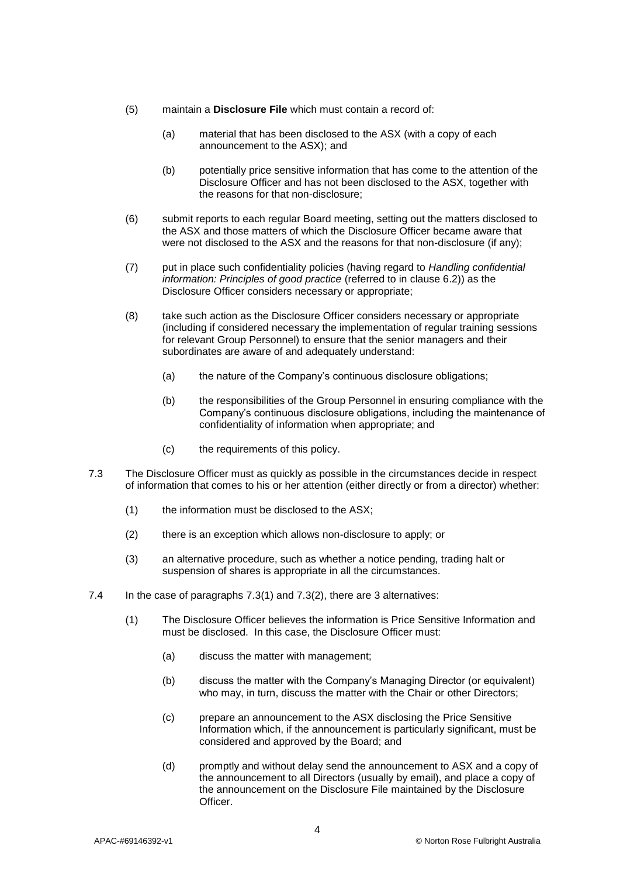- (5) maintain a **Disclosure File** which must contain a record of:
	- (a) material that has been disclosed to the ASX (with a copy of each announcement to the ASX); and
	- (b) potentially price sensitive information that has come to the attention of the Disclosure Officer and has not been disclosed to the ASX, together with the reasons for that non-disclosure;
- (6) submit reports to each regular Board meeting, setting out the matters disclosed to the ASX and those matters of which the Disclosure Officer became aware that were not disclosed to the ASX and the reasons for that non-disclosure (if any);
- (7) put in place such confidentiality policies (having regard to *Handling confidential information: Principles of good practice* (referred to in clause [6.2\)](#page-2-0)) as the Disclosure Officer considers necessary or appropriate;
- (8) take such action as the Disclosure Officer considers necessary or appropriate (including if considered necessary the implementation of regular training sessions for relevant Group Personnel) to ensure that the senior managers and their subordinates are aware of and adequately understand:
	- (a) the nature of the Company's continuous disclosure obligations;
	- (b) the responsibilities of the Group Personnel in ensuring compliance with the Company's continuous disclosure obligations, including the maintenance of confidentiality of information when appropriate; and
	- (c) the requirements of this policy.
- <span id="page-4-1"></span><span id="page-4-0"></span>7.3 The Disclosure Officer must as quickly as possible in the circumstances decide in respect of information that comes to his or her attention (either directly or from a director) whether:
	- (1) the information must be disclosed to the ASX;
	- (2) there is an exception which allows non-disclosure to apply; or
	- (3) an alternative procedure, such as whether a notice pending, trading halt or suspension of shares is appropriate in all the circumstances.
- <span id="page-4-2"></span>7.4 In the case of paragraphs [7.3\(1\)](#page-4-0) and [7.3\(2\),](#page-4-1) there are 3 alternatives:
	- (1) The Disclosure Officer believes the information is Price Sensitive Information and must be disclosed. In this case, the Disclosure Officer must:
		- (a) discuss the matter with management;
		- (b) discuss the matter with the Company's Managing Director (or equivalent) who may, in turn, discuss the matter with the Chair or other Directors;
		- (c) prepare an announcement to the ASX disclosing the Price Sensitive Information which, if the announcement is particularly significant, must be considered and approved by the Board; and
		- (d) promptly and without delay send the announcement to ASX and a copy of the announcement to all Directors (usually by email), and place a copy of the announcement on the Disclosure File maintained by the Disclosure Officer.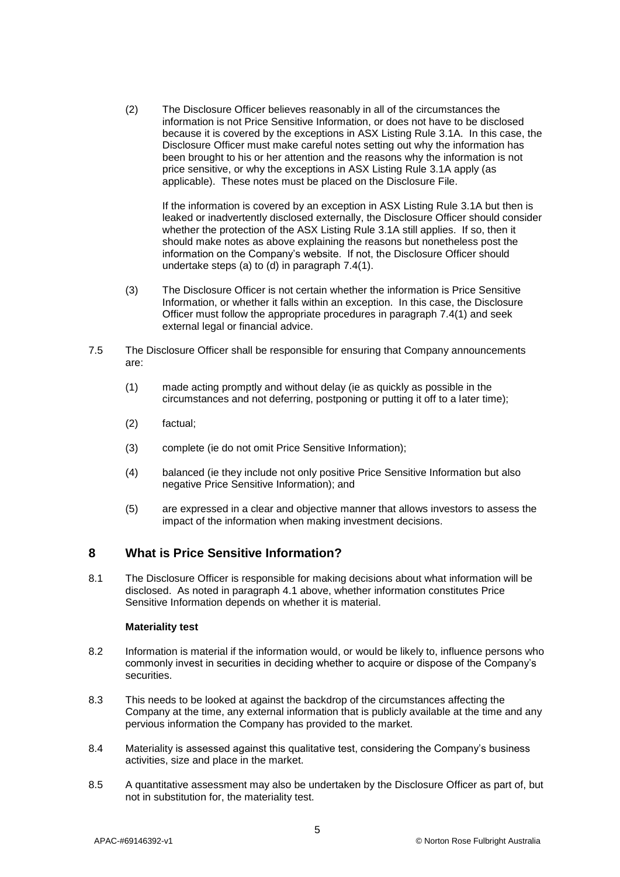(2) The Disclosure Officer believes reasonably in all of the circumstances the information is not Price Sensitive Information, or does not have to be disclosed because it is covered by the exceptions in ASX Listing Rule 3.1A. In this case, the Disclosure Officer must make careful notes setting out why the information has been brought to his or her attention and the reasons why the information is not price sensitive, or why the exceptions in ASX Listing Rule 3.1A apply (as applicable). These notes must be placed on the Disclosure File.

If the information is covered by an exception in ASX Listing Rule 3.1A but then is leaked or inadvertently disclosed externally, the Disclosure Officer should consider whether the protection of the ASX Listing Rule 3.1A still applies. If so, then it should make notes as above explaining the reasons but nonetheless post the information on the Company's website. If not, the Disclosure Officer should undertake steps (a) to (d) in paragraph [7.4\(1\).](#page-4-2)

- (3) The Disclosure Officer is not certain whether the information is Price Sensitive Information, or whether it falls within an exception. In this case, the Disclosure Officer must follow the appropriate procedures in paragraph [7.4\(1\)](#page-4-2) and seek external legal or financial advice.
- 7.5 The Disclosure Officer shall be responsible for ensuring that Company announcements are:
	- (1) made acting promptly and without delay (ie as quickly as possible in the circumstances and not deferring, postponing or putting it off to a later time);
	- (2) factual;
	- (3) complete (ie do not omit Price Sensitive Information);
	- (4) balanced (ie they include not only positive Price Sensitive Information but also negative Price Sensitive Information); and
	- (5) are expressed in a clear and objective manner that allows investors to assess the impact of the information when making investment decisions.

#### <span id="page-5-0"></span>**8 What is Price Sensitive Information?**

8.1 The Disclosure Officer is responsible for making decisions about what information will be disclosed. As noted in paragraph [4.1](#page-1-0) above, whether information constitutes Price Sensitive Information depends on whether it is material.

#### **Materiality test**

- 8.2 Information is material if the information would, or would be likely to, influence persons who commonly invest in securities in deciding whether to acquire or dispose of the Company's securities.
- 8.3 This needs to be looked at against the backdrop of the circumstances affecting the Company at the time, any external information that is publicly available at the time and any pervious information the Company has provided to the market.
- 8.4 Materiality is assessed against this qualitative test, considering the Company's business activities, size and place in the market.
- 8.5 A quantitative assessment may also be undertaken by the Disclosure Officer as part of, but not in substitution for, the materiality test.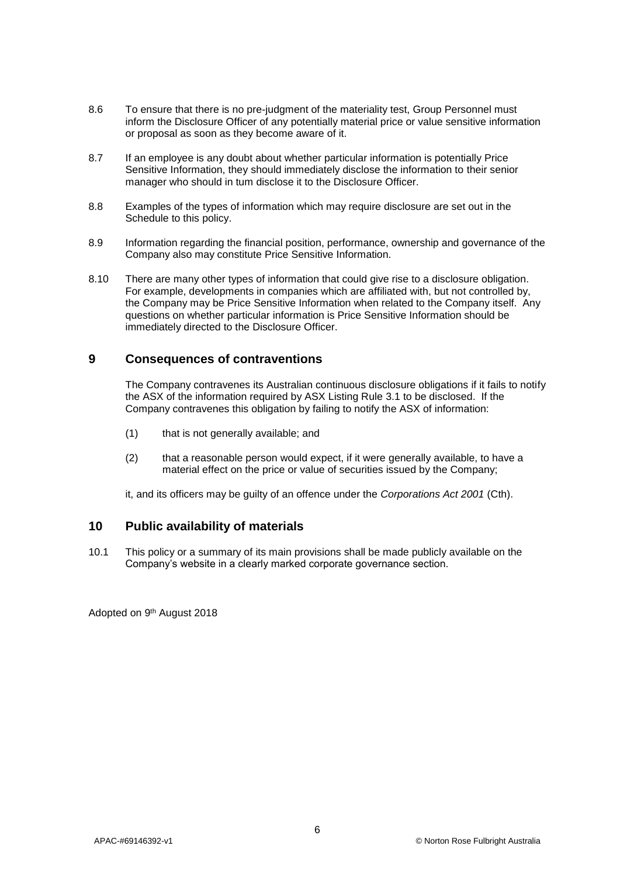- 8.6 To ensure that there is no pre-judgment of the materiality test, Group Personnel must inform the Disclosure Officer of any potentially material price or value sensitive information or proposal as soon as they become aware of it.
- 8.7 If an employee is any doubt about whether particular information is potentially Price Sensitive Information, they should immediately disclose the information to their senior manager who should in tum disclose it to the Disclosure Officer.
- 8.8 Examples of the types of information which may require disclosure are set out in the Schedule to this policy.
- 8.9 Information regarding the financial position, performance, ownership and governance of the Company also may constitute Price Sensitive Information.
- 8.10 There are many other types of information that could give rise to a disclosure obligation. For example, developments in companies which are affiliated with, but not controlled by, the Company may be Price Sensitive Information when related to the Company itself. Any questions on whether particular information is Price Sensitive Information should be immediately directed to the Disclosure Officer.

#### **9 Consequences of contraventions**

The Company contravenes its Australian continuous disclosure obligations if it fails to notify the ASX of the information required by ASX Listing Rule 3.1 to be disclosed. If the Company contravenes this obligation by failing to notify the ASX of information:

- (1) that is not generally available; and
- (2) that a reasonable person would expect, if it were generally available, to have a material effect on the price or value of securities issued by the Company;

it, and its officers may be guilty of an offence under the *Corporations Act 2001* (Cth).

#### **10 Public availability of materials**

10.1 This policy or a summary of its main provisions shall be made publicly available on the Company's website in a clearly marked corporate governance section.

Adopted on 9th August 2018